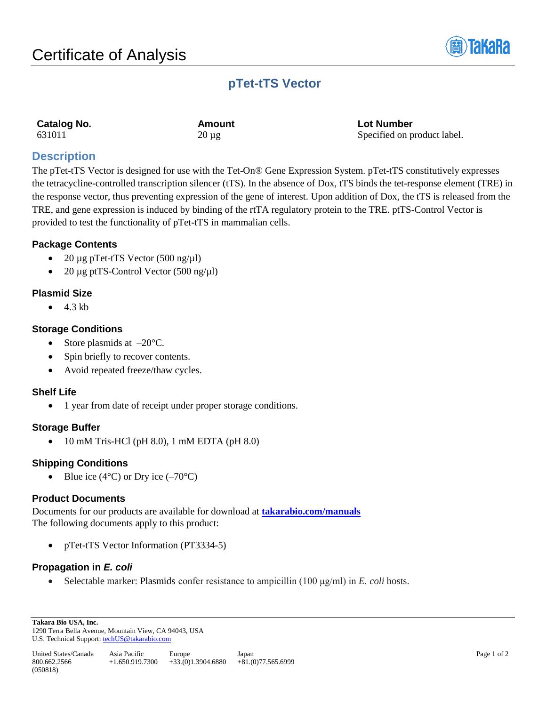

# **pTet-tTS Vector**

| <b>Catalog No.</b> |  |
|--------------------|--|
| 631011             |  |

**Catalog No. Amount Lot Number**  $20 \mu g$  Specified on product label.

# **Description**

The pTet-tTS Vector is designed for use with the Tet-On® Gene Expression System. pTet-tTS constitutively expresses the tetracycline-controlled transcription silencer (tTS). In the absence of Dox, tTS binds the tet-response element (TRE) in the response vector, thus preventing expression of the gene of interest. Upon addition of Dox, the tTS is released from the TRE, and gene expression is induced by binding of the rtTA regulatory protein to the TRE. ptTS-Control Vector is provided to test the functionality of pTet-tTS in mammalian cells.

# **Package Contents**

- 20  $\mu$ g pTet-tTS Vector (500 ng/ $\mu$ l)
- 20 μg ptTS-Control Vector  $(500 \text{ ng/µl})$

# **Plasmid Size**

 $\bullet$  4.3 kb

# **Storage Conditions**

- Store plasmids at  $-20^{\circ}$ C.
- Spin briefly to recover contents.
- Avoid repeated freeze/thaw cycles.

## **Shelf Life**

• 1 year from date of receipt under proper storage conditions.

## **Storage Buffer**

• 10 mM Tris-HCl (pH 8.0), 1 mM EDTA (pH 8.0)

# **Shipping Conditions**

• Blue ice (4 $\degree$ C) or Dry ice (-70 $\degree$ C)

## **Product Documents**

Documents for our products are available for download at **[takarabio.com/manuals](http://www.takarabio.com/manuals)** The following documents apply to this product:

• pTet-tTS Vector Information (PT3334-5)

# **Propagation in** *E. coli*

• Selectable marker: Plasmids confer resistance to ampicillin (100 μg/ml) in *E. coli* hosts.

**Takara Bio USA, Inc.**  1290 Terra Bella Avenue, Mountain View, CA 94043, USA U.S. Technical Support[: techUS@takarabio.com](mailto:techUS@takarabio.com)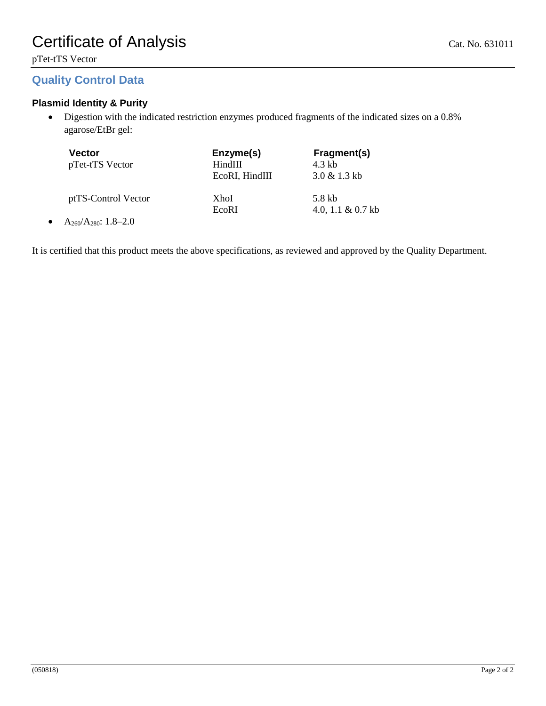pTet-tTS Vector

# **Quality Control Data**

# **Plasmid Identity & Purity**

• Digestion with the indicated restriction enzymes produced fragments of the indicated sizes on a 0.8% agarose/EtBr gel:

| Vector<br>pTet-tTS Vector                       | Enzyme(s)<br>HindIII<br>EcoRI, HindIII | Fragment(s)<br>4.3 kb<br>$3.0 \& 1.3 \text{ kb}$ |
|-------------------------------------------------|----------------------------------------|--------------------------------------------------|
| ptTS-Control Vector                             | XhoI<br>EcoRI                          | 5.8 kb<br>4.0, 1.1 & $0.7$ kb                    |
| $\lambda$ $\lambda$ $\lambda$ $\Omega$ $\Omega$ |                                        |                                                  |

•  $A_{260}/A_{280}$ : 1.8–2.0

It is certified that this product meets the above specifications, as reviewed and approved by the Quality Department.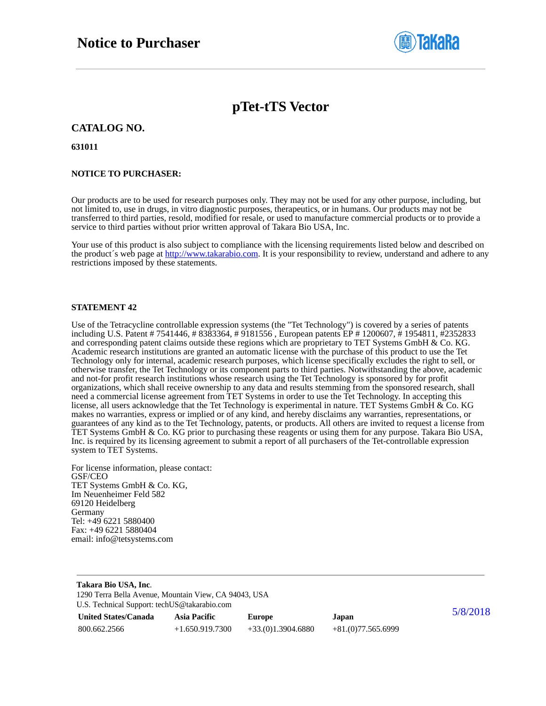

# **pTet-tTS Vector**

### **CATALOG NO.**

**631011**

#### **NOTICE TO PURCHASER:**

Our products are to be used for research purposes only. They may not be used for any other purpose, including, but not limited to, use in drugs, in vitro diagnostic purposes, therapeutics, or in humans. Our products may not be transferred to third parties, resold, modified for resale, or used to manufacture commercial products or to provide a service to third parties without prior written approval of Takara Bio USA, Inc.

Your use of this product is also subject to compliance with the licensing requirements listed below and described on the product's web page at [http://www.takarabio.com.](http://www.takarabio.com/) It is your responsibility to review, understand and adhere to any restrictions imposed by these statements.

#### **STATEMENT 42**

Use of the Tetracycline controllable expression systems (the "Tet Technology") is covered by a series of patents including U.S. Patent # 7541446, # 8383364, # 9181556 , European patents EP # 1200607, # 1954811, #2352833 and corresponding patent claims outside these regions which are proprietary to TET Systems GmbH & Co. KG. Academic research institutions are granted an automatic license with the purchase of this product to use the Tet Technology only for internal, academic research purposes, which license specifically excludes the right to sell, or otherwise transfer, the Tet Technology or its component parts to third parties. Notwithstanding the above, academic and not-for profit research institutions whose research using the Tet Technology is sponsored by for profit organizations, which shall receive ownership to any data and results stemming from the sponsored research, shall need a commercial license agreement from TET Systems in order to use the Tet Technology. In accepting this license, all users acknowledge that the Tet Technology is experimental in nature. TET Systems GmbH  $\&$  Co. KG makes no warranties, express or implied or of any kind, and hereby disclaims any warranties, representations, or guarantees of any kind as to the Tet Technology, patents, or products. All others are invited to request a license from TET Systems GmbH & Co. KG prior to purchasing these reagents or using them for any purpose. Takara Bio USA, Inc. is required by its licensing agreement to submit a report of all purchasers of the Tet-controllable expression system to TET Systems.

For license information, please contact: GSF/CEO TET Systems GmbH & Co. KG, Im Neuenheimer Feld 582 69120 Heidelberg Germany Tel: +49 6221 5880400 Fax: +49 6221 5880404 email: info@tetsystems.com

| Takara Bio USA, Inc.<br>1290 Terra Bella Avenue, Mountain View, CA 94043, USA |                     |                     |                     |          |
|-------------------------------------------------------------------------------|---------------------|---------------------|---------------------|----------|
| U.S. Technical Support: techUS@takarabio.com                                  |                     |                     |                     |          |
| <b>United States/Canada</b>                                                   | <b>Asia Pacific</b> | <b>Europe</b>       | Japan               | 5/8/2018 |
| 800.662.2566                                                                  | $+1.650.919.7300$   | $+33(0)1.3904.6880$ | $+81(0)77.565.6999$ |          |